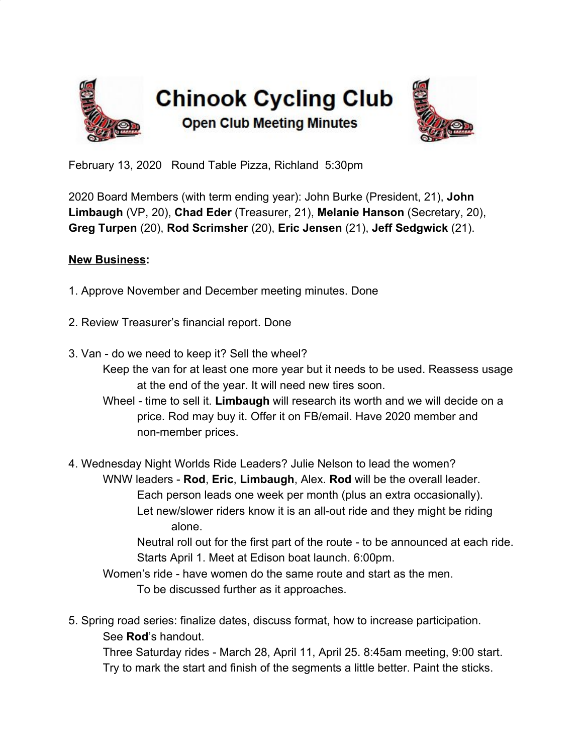



February 13, 2020 Round Table Pizza, Richland 5:30pm

2020 Board Members (with term ending year): John Burke (President, 21), **John Limbaugh** (VP, 20), **Chad Eder** (Treasurer, 21), **Melanie Hanson** (Secretary, 20), **Greg Turpen** (20), **Rod Scrimsher** (20), **Eric Jensen** (21), **Jeff Sedgwick** (21).

## **New Business:**

- 1. Approve November and December meeting minutes. Done
- 2. Review Treasurer's financial report. Done
- 3. Van do we need to keep it? Sell the wheel?
	- Keep the van for at least one more year but it needs to be used. Reassess usage at the end of the year. It will need new tires soon.
	- Wheel time to sell it. **Limbaugh** will research its worth and we will decide on a price. Rod may buy it. Offer it on FB/email. Have 2020 member and non-member prices.

4. Wednesday Night Worlds Ride Leaders? Julie Nelson to lead the women? WNW leaders - **Rod**, **Eric**, **Limbaugh**, Alex. **Rod** will be the overall leader. Each person leads one week per month (plus an extra occasionally). Let new/slower riders know it is an all-out ride and they might be riding alone.

Neutral roll out for the first part of the route - to be announced at each ride. Starts April 1. Meet at Edison boat launch. 6:00pm.

Women's ride - have women do the same route and start as the men. To be discussed further as it approaches.

5. Spring road series: finalize dates, discuss format, how to increase participation. See **Rod**'s handout.

Three Saturday rides - March 28, April 11, April 25. 8:45am meeting, 9:00 start. Try to mark the start and finish of the segments a little better. Paint the sticks.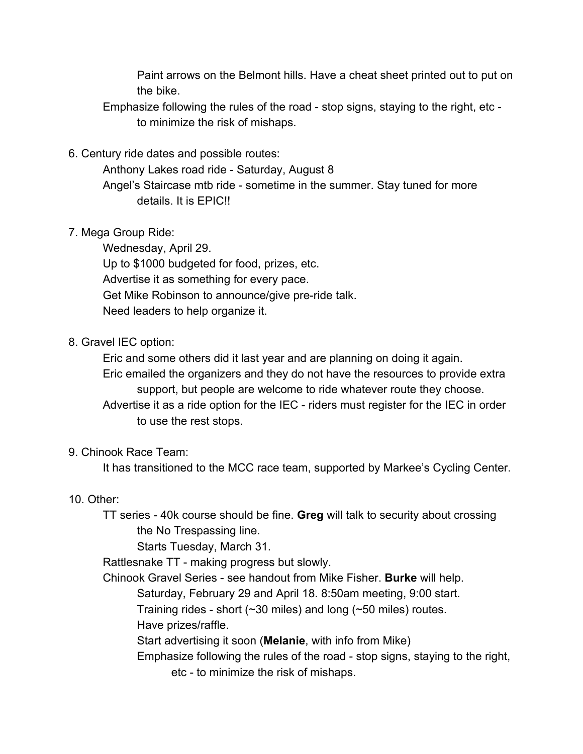Paint arrows on the Belmont hills. Have a cheat sheet printed out to put on the bike.

Emphasize following the rules of the road - stop signs, staying to the right, etc to minimize the risk of mishaps.

6. Century ride dates and possible routes:

Anthony Lakes road ride - Saturday, August 8 Angel's Staircase mtb ride - sometime in the summer. Stay tuned for more details. It is EPIC!!

7. Mega Group Ride:

Wednesday, April 29. Up to \$1000 budgeted for food, prizes, etc. Advertise it as something for every pace. Get Mike Robinson to announce/give pre-ride talk. Need leaders to help organize it.

## 8. Gravel IEC option:

Eric and some others did it last year and are planning on doing it again. Eric emailed the organizers and they do not have the resources to provide extra support, but people are welcome to ride whatever route they choose.

Advertise it as a ride option for the IEC - riders must register for the IEC in order to use the rest stops.

## 9. Chinook Race Team:

It has transitioned to the MCC race team, supported by Markee's Cycling Center.

## 10. Other:

TT series - 40k course should be fine. **Greg** will talk to security about crossing the No Trespassing line.

Starts Tuesday, March 31.

Rattlesnake TT - making progress but slowly.

Chinook Gravel Series - see handout from Mike Fisher. **Burke** will help.

Saturday, February 29 and April 18. 8:50am meeting, 9:00 start.

Training rides - short (~30 miles) and long (~50 miles) routes.

Have prizes/raffle.

Start advertising it soon (**Melanie**, with info from Mike)

Emphasize following the rules of the road - stop signs, staying to the right,

etc - to minimize the risk of mishaps.